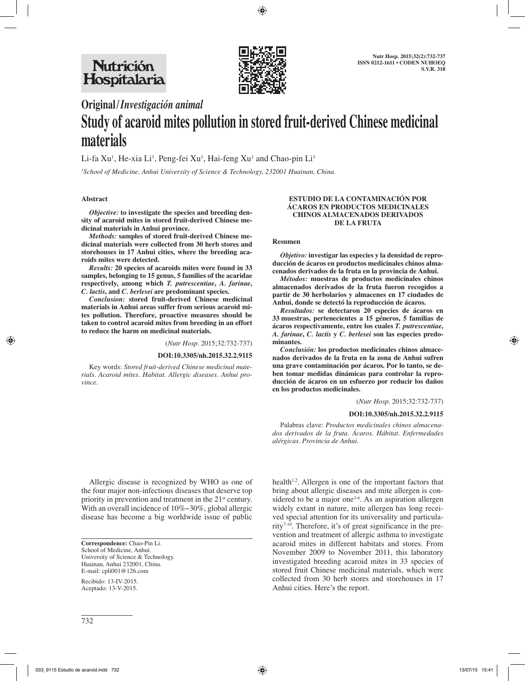

# **Original/***Investigación animal*

# **Study of acaroid mites pollution in stored fruit-derived Chinese medicinal materials**

Li-fa Xu<sup>1</sup>, He-xia Li<sup>1</sup>, Peng-fei Xu<sup>1</sup>, Hai-feng Xu<sup>1</sup> and Chao-pin Li<sup>1</sup>

*1 School of Medicine, Anhui University of Science & Technology, 232001 Huainan, China.*

# **Abstract**

*Objective:* **to investigate the species and breeding density of acaroid mites in stored fruit-derived Chinese medicinal materials in Anhui province.** 

*Methods:* **samples of stored fruit-derived Chinese medicinal materials were collected from 30 herb stores and storehouses in 17 Anhui cities, where the breeding acaroids mites were detected.** 

*Results:* **20 species of acaroids mites were found in 33 samples, belonging to 15 genus, 5 families of the acaridae respectively, among which** *T. putrescentiae***,** *A. farinae***,** *C. lactis***, and** *C. berlesei* **are predominant species.** 

*Conclusion:* **stored fruit-derived Chinese medicinal materials in Anhui areas suffer from serious acaroid mites pollution. Therefore, proactive measures should be taken to control acaroid mites from breeding in an effort to reduce the harm on medicinal materials.**

(*Nutr Hosp.* 2015;32:732-737)

#### **DOI:10.3305/nh.2015.32.2.9115**

Key words: *Stored fruit-derived Chinese medicinal materials. Acaroid mites. Habitat. Allergic diseases. Anhui province.*

#### **ESTUDIO DE LA CONTAMINACIÓN POR ÁCAROS EN PRODUCTOS MEDICINALES CHINOS ALMACENADOS DERIVADOS DE LA FRUTA**

#### **Resumen**

*Objetivo:* **investigar las especies y la densidad de reproducción de ácaros en productos medicinales chinos almacenados derivados de la fruta en la provincia de Anhui.**

*Métodos:* **muestras de productos medicinales chinos almacenados derivados de la fruta fueron recogidos a partir de 30 herbolarios y almacenes en 17 ciudades de Anhui, donde se detectó la reproducción de ácaros.**

*Resultados:* **se detectaron 20 especies de ácaros en 33 muestras, pertenecientes a 15 géneros, 5 familias de ácaros respectivamente, entre los cuales** *T. putrescentiae***,**  *A. farinae***,** *C. lactis* **y** *C. berlesei* **son las especies predominantes.**

*Conclusión:* **los productos medicinales chinos almacenados derivados de la fruta en la zona de Anhui sufren una grave contaminación por ácaros. Por lo tanto, se deben tomar medidas dinámicas para controlar la reproducción de ácaros en un esfuerzo por reducir los daños en los productos medicinales.**

#### (*Nutr Hosp.* 2015;32:732-737)

#### **DOI:10.3305/nh.2015.32.2.9115**

Palabras clave: *Productos medicinales chinos almacenados derivados de la fruta. Ácaros. Hábitat. Enfermedades alérgicas. Provincia de Anhui.*

Allergic disease is recognized by WHO as one of the four major non-infectious diseases that deserve top priority in prevention and treatment in the 21<sup>st</sup> century. With an overall incidence of 10%~30%, global allergic disease has become a big worldwide issue of public

**Correspondence:** Chao-Pin Li. School of Medicine, Anhui. University of Science & Technology. Huainan, Anhui 232001, China. E-mail: cpli001@126.com

Recibido: 13-IV-2015. Aceptado: 13-V-2015.

health<sup> $1,2$ </sup>. Allergen is one of the important factors that bring about allergic diseases and mite allergen is considered to be a major one<sup>3-6</sup>. As an aspiration allergen widely extant in nature, mite allergen has long received special attention for its universality and particularity7-10. Therefore, it's of great significance in the prevention and treatment of allergic asthma to investigate acaroid mites in different habitats and stores. From November 2009 to November 2011, this laboratory investigated breeding acaroid mites in 33 species of stored fruit Chinese medicinal materials, which were collected from 30 herb stores and storehouses in 17 Anhui cities. Here's the report.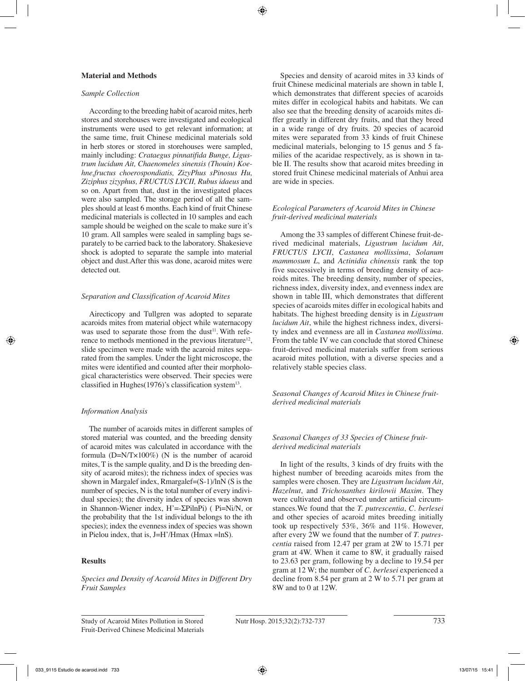# **Material and Methods**

#### *Sample Collection*

According to the breeding habit of acaroid mites, herb stores and storehouses were investigated and ecological instruments were used to get relevant information; at the same time, fruit Chinese medicinal materials sold in herb stores or stored in storehouses were sampled, mainly including: *Crataegus pinnatifida Bunge, Ligustrum lucidum Ait, Chaenomeles sinensis (Thouin) Koehne,fructus choerospondiatis, ZizyPhus sPinosus Hu, Ziziphus zizyphus, FRUCTUS LYCII, Rubus idaeus* and so on. Apart from that, dust in the investigated places were also sampled. The storage period of all the samples should at least 6 months. Each kind of fruit Chinese medicinal materials is collected in 10 samples and each sample should be weighed on the scale to make sure it's 10 gram. All samples were sealed in sampling bags separately to be carried back to the laboratory. Shakesieve shock is adopted to separate the sample into material object and dust.After this was done, acaroid mites were detected out.

# *Separation and Classification of Acaroid Mites*

Airecticopy and Tullgren was adopted to separate acaroids mites from material object while waternacopy was used to separate those from the dust<sup>11</sup>. With reference to methods mentioned in the previous literature<sup>12</sup>, slide specimen were made with the acaroid mites separated from the samples. Under the light microscope, the mites were identified and counted after their morphological characteristics were observed. Their species were classified in Hughes $(1976)$ 's classification system<sup>13</sup>.

# *Information Analysis*

The number of acaroids mites in different samples of stored material was counted, and the breeding density of acaroid mites was calculated in accordance with the formula (D=N/T×100%) (N is the number of acaroid mites, T is the sample quality, and D is the breeding density of acaroid mites); the richness index of species was shown in Margalef index, Rmargalef= $(S-1)/\ln N$  (S is the number of species, N is the total number of every individual species); the diversity index of species was shown in Shannon-Wiener index, H'=-ΣPilnPi) ( Pi=Ni/N, or the probability that the 1st individual belongs to the ith species); index the evenness index of species was shown in Pielou index, that is, J=H'/Hmax (Hmax =lnS).

# **Results**

*Species and Density of Acaroid Mites in Different Dry Fruit Samples*

Species and density of acaroid mites in 33 kinds of fruit Chinese medicinal materials are shown in table I, which demonstrates that different species of acaroids mites differ in ecological habits and habitats. We can also see that the breeding density of acaroids mites differ greatly in different dry fruits, and that they breed in a wide range of dry fruits. 20 species of acaroid mites were separated from 33 kinds of fruit Chinese medicinal materials, belonging to 15 genus and 5 families of the acaridae respectively, as is shown in table II. The results show that acaroid mites breeding in stored fruit Chinese medicinal materials of Anhui area are wide in species.

# *Ecological Parameters of Acaroid Mites in Chinese fruit-derived medicinal materials*

Among the 33 samples of different Chinese fruit-derived medicinal materials, *Ligustrum lucidum Ait*, *FRUCTUS LYCII*, *Castanea mollissima*, *Solanum mammosum L*, and *Actinidia chinensis* rank the top five successively in terms of breeding density of acaroids mites. The breeding density, number of species, richness index, diversity index, and evenness index are shown in table III, which demonstrates that different species of acaroids mites differ in ecological habits and habitats. The highest breeding density is in *Ligustrum lucidum Ait*, while the highest richness index, diversity index and evenness are all in *Castanea mollissima*. From the table IV we can conclude that stored Chinese fruit-derived medicinal materials suffer from serious acaroid mites pollution, with a diverse species and a relatively stable species class.

*Seasonal Changes of Acaroid Mites in Chinese fruitderived medicinal materials*

# *Seasonal Changes of 33 Species of Chinese fruitderived medicinal materials*

In light of the results, 3 kinds of dry fruits with the highest number of breeding acaroids mites from the samples were chosen. They are *Ligustrum lucidum Ait*, *Hazelnut*, and *Trichosanthes kirilowii Maxim*. They were cultivated and observed under artificial circumstances.We found that the *T. putrescentia*, *C. berlesei* and other species of acaroid mites breeding initially took up respectively 53%, 36% and 11%. However, after every 2W we found that the number of *T. putrescentia* raised from 12.47 per gram at 2W to 15.71 per gram at 4W. When it came to 8W, it gradually raised to 23.63 per gram, following by a decline to 19.54 per gram at 12 W; the number of *C. berlesei* experienced a decline from 8.54 per gram at 2 W to 5.71 per gram at 8W and to 0 at 12W.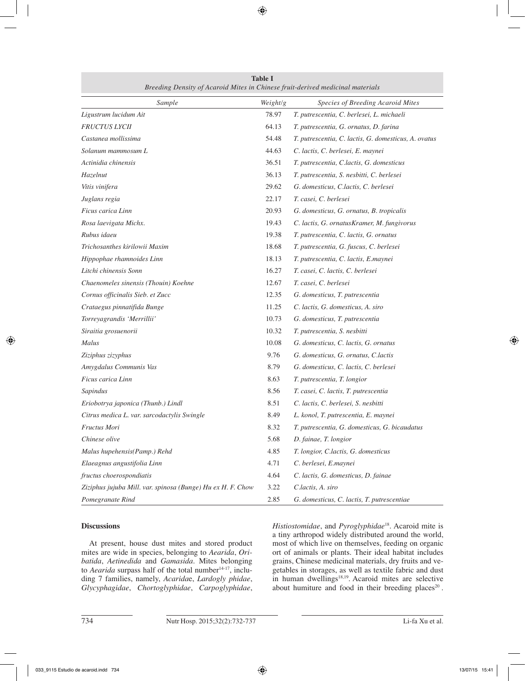| Sample                                                      | Weight/g | Species of Breeding Acaroid Mites                    |
|-------------------------------------------------------------|----------|------------------------------------------------------|
| Ligustrum lucidum Ait                                       | 78.97    | T. putrescentia, C. berlesei, L. michaeli            |
| <b>FRUCTUS LYCII</b>                                        | 64.13    | T. putrescentia, G. ornatus, D. farina               |
| Castanea mollissima                                         | 54.48    | T. putrescentia, C. lactis, G. domesticus, A. ovatus |
| Solanum mammosum L                                          | 44.63    | C. lactis, C. berlesei, E. maynei                    |
| Actinidia chinensis                                         | 36.51    | T. putrescentia, C.lactis, G. domesticus             |
| Hazelnut                                                    | 36.13    | T. putrescentia, S. nesbitti, C. berlesei            |
| Vitis vinifera                                              | 29.62    | G. domesticus, C.lactis, C. berlesei                 |
| Juglans regia                                               | 22.17    | T. casei, C. berlesei                                |
| Ficus carica Linn                                           | 20.93    | G. domesticus, G. ornatus, B. tropicalis             |
| Rosa laevigata Michx.                                       | 19.43    | C. lactis, G. ornatusKramer, M. fungivorus           |
| Rubus idaeu                                                 | 19.38    | T. putrescentia, C. lactis, G. ornatus               |
| Trichosanthes kirilowii Maxim                               | 18.68    | T. putrescentia, G. fuscus, C. berlesei              |
| Hippophae rhamnoides Linn                                   | 18.13    | T. putrescentia, C. lactis, E.maynei                 |
| Litchi chinensis Sonn                                       | 16.27    | T. casei, C. lactis, C. berlesei                     |
| Chaenomeles sinensis (Thouin) Koehne                        | 12.67    | T. casei, C. berlesei                                |
| Cornus officinalis Sieb. et Zucc                            | 12.35    | G. domesticus, T. putrescentia                       |
| Crataegus pinnatifida Bunge                                 | 11.25    | C. lactis, G. domesticus, A. siro                    |
| Torreyagrandis 'Merrillii'                                  | 10.73    | G. domesticus, T. putrescentia                       |
| Siraitia grosuenorii                                        | 10.32    | T. putrescentia, S. nesbitti                         |
| Malus                                                       | 10.08    | G. domesticus, C. lactis, G. ornatus                 |
| Ziziphus zizyphus                                           | 9.76     | G. domesticus, G. ornatus, C.lactis                  |
| Amygdalus Communis Vas                                      | 8.79     | G. domesticus, C. lactis, C. berlesei                |
| Ficus carica Linn                                           | 8.63     | T. putrescentia, T. longior                          |
| Sapindus                                                    | 8.56     | T. casei, C. lactis, T. putrescentia                 |
| Eriobotrya japonica (Thunb.) Lindl                          | 8.51     | C. lactis, C. berlesei, S. nesbitti                  |
| Citrus medica L. var. sarcodactylis Swingle                 | 8.49     | L. konol, T. putrescentia, E. maynei                 |
| Fructus Mori                                                | 8.32     | T. putrescentia, G. domesticus, G. bicaudatus        |
| Chinese olive                                               | 5.68     | D. fainae, T. longior                                |
| Malus hupehensis(Pamp.) Rehd                                | 4.85     | T. longior, C.lactis, G. domesticus                  |
| Elaeagnus angustifolia Linn                                 | 4.71     | C. berlesei, E.maynei                                |
| fructus choerospondiatis                                    | 4.64     | C. lactis, G. domesticus, D. fainae                  |
| Ziziphus jujuba Mill. var. spinosa (Bunge) Hu ex H. F. Chow | 3.22     | C.lactis, A. siro                                    |
| Pomegranate Rind                                            | 2.85     | G. domesticus, C. lactis, T. putrescentiae           |

**Table I** *Breeding Density of Acaroid Mites in Chinese fruit-derived medicinal materials*

# **Discussions**

At present, house dust mites and stored product mites are wide in species, belonging to *Aearida*, *Oribatida*, *Aetinedida* and *Gamasida*. Mites belonging to *Aearida* surpass half of the total number<sup>14-17</sup>, including 7 families, namely, *Acarida*e, *Lardogly phidae*, *Glycyphagidae*, *Chortoglyphidae*, *Carpoglyphidae*, *Histiostomidae*, and *Pyroglyphidae*18. Acaroid mite is a tiny arthropod widely distributed around the world, most of which live on themselves, feeding on organic ort of animals or plants. Their ideal habitat includes grains, Chinese medicinal materials, dry fruits and vegetables in storages, as well as textile fabric and dust in human dwellings<sup>18,19</sup>. Acaroid mites are selective about humiture and food in their breeding places<sup>20</sup>.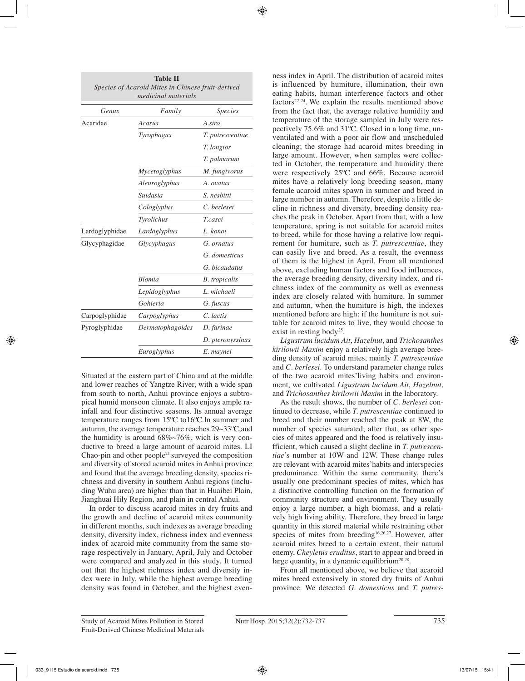| Genus          | Family           | <i>Species</i>       |
|----------------|------------------|----------------------|
| Acaridae       | Acarus           | A.siro               |
|                | Tyrophagus       | T. putrescentiae     |
|                |                  | T. longior           |
|                |                  | T. palmarum          |
|                | Mycetoglyphus    | M. fungivorus        |
|                | Aleuroglyphus    | A. ovatus            |
|                | Suidasia         | S. nesbitti          |
|                | Cologlyplus      | C. berlesei          |
|                | Tyrolichus       | <i>T.casei</i>       |
| Lardoglyphidae | Lardoglyphus     | L. konoi             |
| Glycyphagidae  | Glycyphagus      | G. ornatus           |
|                |                  | G. domesticus        |
|                |                  | G. bicaudatus        |
|                | <b>Blomia</b>    | <b>B.</b> tropicalis |
|                | Lepidoglyphus    | L. michaeli          |
|                | Gohieria         | G. fuscus            |
| Carpoglyphidae | Carpoglyphus     | C. lactis            |
| Pyroglyphidae  | Dermatophagoides | D. farinae           |
|                |                  | D. pteronyssinus     |
|                | Euroglyphus      | E. maynei            |

Situated at the eastern part of China and at the middle and lower reaches of Yangtze River, with a wide span from south to north, Anhui province enjoys a subtropical humid monsoon climate. It also enjoys ample rainfall and four distinctive seasons. Its annual average temperature ranges from 15ºC to16ºC.In summer and autumn, the average temperature reaches 29~33ºC,and the humidity is around 68%~76%, wich is very conductive to breed a large amount of acaroid mites. LI Chao-pin and other people<sup>21</sup> surveyed the composition and diversity of stored acaroid mites in Anhui province and found that the average breeding density, species richness and diversity in southern Anhui regions (including Wuhu area) are higher than that in Huaibei Plain, Jianghuai Hily Region, and plain in central Anhui.

In order to discuss acaroid mites in dry fruits and the growth and decline of acaroid mites community in different months, such indexes as average breeding density, diversity index, richness index and evenness index of acaroid mite community from the same storage respectively in January, April, July and October were compared and analyzed in this study. It turned out that the highest richness index and diversity index were in July, while the highest average breeding density was found in October, and the highest evenness index in April. The distribution of acaroid mites is influenced by humiture, illumination, their own eating habits, human interference factors and other factors22-24. We explain the results mentioned above from the fact that, the average relative humidity and temperature of the storage sampled in July were respectively 75.6% and 31ºC. Closed in a long time, unventilated and with a poor air flow and unscheduled cleaning; the storage had acaroid mites breeding in large amount. However, when samples were collected in October, the temperature and humidity there were respectively 25ºC and 66%. Because acaroid mites have a relatively long breeding season, many female acaroid mites spawn in summer and breed in large number in autumn. Therefore, despite a little decline in richness and diversity, breeding density reaches the peak in October. Apart from that, with a low temperature, spring is not suitable for acaroid mites to breed, while for those having a relative low requirement for humiture, such as *T. putrescentiae*, they can easily live and breed. As a result, the evenness of them is the highest in April. From all mentioned above, excluding human factors and food influences, the average breeding density, diversity index, and richness index of the community as well as evenness index are closely related with humiture. In summer and autumn, when the humiture is high, the indexes mentioned before are high; if the humiture is not suitable for acaroid mites to live, they would choose to exist in resting body<sup>25</sup>.

*Ligustrum lucidum Ait*, *Hazelnut*, and *Trichosanthes kirilowii Maxim* enjoy a relatively high average breeding density of acaroid mites, mainly *T. putrescentiae*  and *C. berlesei*. To understand parameter change rules of the two acaroid mites'living habits and environment, we cultivated *Ligustrum lucidum Ait*, *Hazelnut*, and *Trichosanthes kirilowii Maxim* in the laboratory.

As the result shows, the number of *C. berlesei* continued to decrease, while *T. putrescentiae* continued to breed and their number reached the peak at 8W, the number of species saturated; after that, as other species of mites appeared and the food is relatively insufficient, which caused a slight decline in *T. putrescentiae*'s number at 10W and 12W. These change rules are relevant with acaroid mites'habits and interspecies predominance. Within the same community, there's usually one predominant species of mites, which has a distinctive controlling function on the formation of community structure and environment. They usually enjoy a large number, a high biomass, and a relatively high living ability. Therefore, they breed in large quantity in this stored material while restraining other species of mites from breeding<sup>16,26,27</sup>. However, after acaroid mites breed to a certain extent, their natural enemy, *Cheyletus eruditus*, start to appear and breed in large quantity, in a dynamic equilibrium<sup>20,28</sup>.

From all mentioned above, we believe that acaroid mites breed extensively in stored dry fruits of Anhui province. We detected *G. domesticus* and *T. putres-*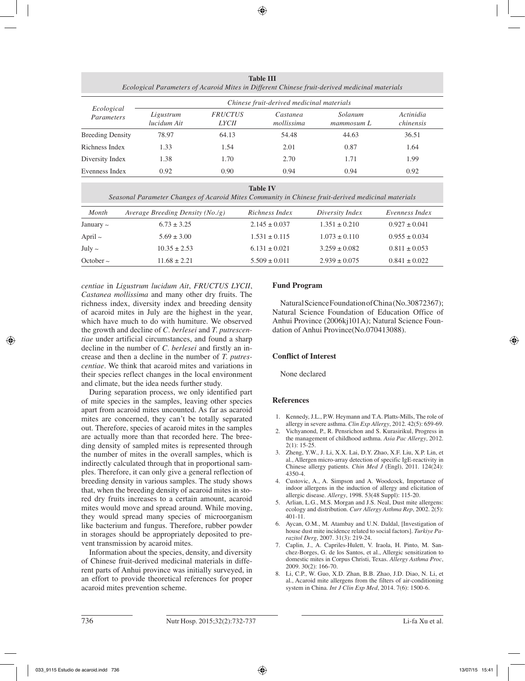**Table III** *Ecological Parameters of Acaroid Mites in Different Chinese fruit-derived medicinal materials*

| Ecological<br>Parameters | Chinese fruit-derived medicinal materials |                                |                        |                       |                        |
|--------------------------|-------------------------------------------|--------------------------------|------------------------|-----------------------|------------------------|
|                          | Ligustrum<br>lucidum Ait                  | <i>FRUCTUS</i><br><i>LYCII</i> | Castanea<br>mollissima | Solanum<br>mammosum L | Actinidia<br>chinensis |
| <b>Breeding Density</b>  | 78.97                                     | 64.13                          | 54.48                  | 44.63                 | 36.51                  |
| Richness Index           | 1.33                                      | 1.54                           | 2.01                   | 0.87                  | 1.64                   |
| Diversity Index          | 1.38                                      | 1.70                           | 2.70                   | 1.71                  | 1.99                   |
| Evenness Index           | 0.92                                      | 0.90                           | 0.94                   | 0.94                  | 0.92                   |

#### **Table IV**

*Seasonal Parameter Changes of Acaroid Mites Community in Chinese fruit-derived medicinal materials*

| Month          | Average Breeding Density $(No./g)$ | Richness Index    | Diversity Index   | Evenness Index    |
|----------------|------------------------------------|-------------------|-------------------|-------------------|
| January $\sim$ | $6.73 \pm 3.25$                    | $2.145 \pm 0.037$ | $1.351 \pm 0.210$ | $0.927 \pm 0.041$ |
| April $\sim$   | $5.69 \pm 3.00$                    | $1.531 \pm 0.115$ | $1.073 \pm 0.110$ | $0.955 \pm 0.034$ |
| July $\sim$    | $10.35 \pm 2.53$                   | $6.131 \pm 0.021$ | $3.259 \pm 0.082$ | $0.811 \pm 0.053$ |
| October $\sim$ | $11.68 \pm 2.21$                   | $5.509 \pm 0.011$ | $2.939 \pm 0.075$ | $0.841 \pm 0.022$ |
|                |                                    |                   |                   |                   |

*centiae* in *Ligustrum lucidum Ait*, *FRUCTUS LYCII*, *Castanea mollissima* and many other dry fruits. The richness index, diversity index and breeding density of acaroid mites in July are the highest in the year, which have much to do with humiture. We observed the growth and decline of *C. berlesei* and *T. putrescentiae* under artificial circumstances, and found a sharp decline in the number of *C. berlesei* and firstly an increase and then a decline in the number of *T. putrescentiae*. We think that acaroid mites and variations in their species reflect changes in the local environment and climate, but the idea needs further study.

During separation process, we only identified part of mite species in the samples, leaving other species apart from acaroid mites uncounted. As far as acaroid mites are concerned, they can't be totally separated out. Therefore, species of acaroid mites in the samples are actually more than that recorded here. The breeding density of sampled mites is represented through the number of mites in the overall samples, which is indirectly calculated through that in proportional samples. Therefore, it can only give a general reflection of breeding density in various samples. The study shows that, when the breeding density of acaroid mites in stored dry fruits increases to a certain amount, acaroid mites would move and spread around. While moving, they would spread many species of microorganism like bacterium and fungus. Therefore, rubber powder in storages should be appropriately deposited to prevent transmission by acaroid mites.

Information about the species, density, and diversity of Chinese fruit-derived medicinal materials in different parts of Anhui province was initially surveyed, in an effort to provide theoretical references for proper acaroid mites prevention scheme.

# **Fund Program**

Natural Science Foundation of China (No.30872367); Natural Science Foundation of Education Office of Anhui Province (2006kj101A); Natural Science Foundation of Anhui Province(No.070413088).

# **Conflict of Interest**

None declared

# **References**

- 1. Kennedy, J.L., P.W. Heymann and T.A. Platts-Mills, The role of allergy in severe asthma. *Clin Exp Allergy*, 2012. 42(5): 659-69.
- 2. Vichyanond, P., R. Pensrichon and S. Kurasirikul, Progress in the management of childhood asthma. *Asia Pac Allergy*, 2012.  $2(1): 15-25.$
- 3. Zheng, Y.W., J. Li, X.X. Lai, D.Y. Zhao, X.F. Liu, X.P. Lin, et al., Allergen micro-array detection of specific IgE-reactivity in Chinese allergy patients. *Chin Med J* (Engl), 2011. 124(24): 4350-4.
- 4. Custovic, A., A. Simpson and A. Woodcock, Importance of indoor allergens in the induction of allergy and elicitation of allergic disease. *Allergy*, 1998. 53(48 Suppl): 115-20.
- 5. Arlian, L.G., M.S. Morgan and J.S. Neal, Dust mite allergens: ecology and distribution. *Curr Allergy Asthma Rep*, 2002. 2(5): 401-11.
- 6. Aycan, O.M., M. Atambay and U.N. Daldal, [Investigation of house dust mite incidence related to social factors]. *Turkiye Parazitol Derg*, 2007. 31(3): 219-24.
- 7. Caplin, J., A. Capriles-Hulett, V. Iraola, H. Pinto, M. Sanchez-Borges, G. de los Santos, et al., Allergic sensitization to domestic mites in Corpus Christi, Texas. *Allergy Asthma Proc*, 2009. 30(2): 166-70.
- 8. Li, C.P., W. Guo, X.D. Zhan, B.B. Zhao, J.D. Diao, N. Li, et al., Acaroid mite allergens from the filters of air-conditioning system in China. *Int J Clin Exp Med*, 2014. 7(6): 1500-6.